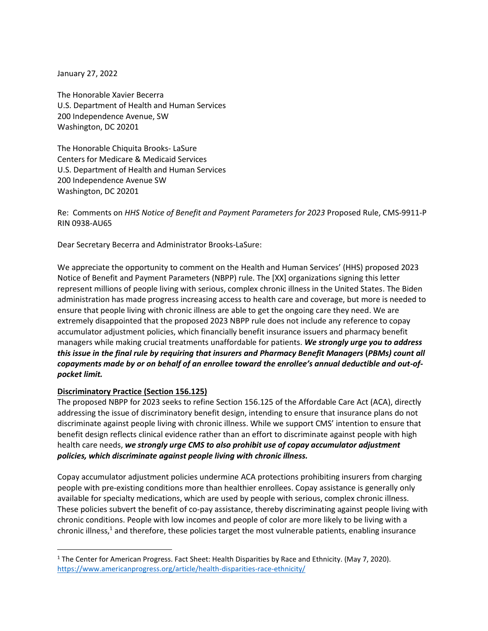January 27, 2022

The Honorable Xavier Becerra U.S. Department of Health and Human Services 200 Independence Avenue, SW Washington, DC 20201

The Honorable Chiquita Brooks- LaSure Centers for Medicare & Medicaid Services U.S. Department of Health and Human Services 200 Independence Avenue SW Washington, DC 20201

Re: Comments on *HHS Notice of Benefit and Payment Parameters for 2023* Proposed Rule, CMS-9911-P RIN 0938-AU65

Dear Secretary Becerra and Administrator Brooks-LaSure:

We appreciate the opportunity to comment on the Health and Human Services' (HHS) proposed 2023 Notice of Benefit and Payment Parameters (NBPP) rule. The [XX] organizations signing this letter represent millions of people living with serious, complex chronic illness in the United States. The Biden administration has made progress increasing access to health care and coverage, but more is needed to ensure that people living with chronic illness are able to get the ongoing care they need. We are extremely disappointed that the proposed 2023 NBPP rule does not include any reference to copay accumulator adjustment policies, which financially benefit insurance issuers and pharmacy benefit managers while making crucial treatments unaffordable for patients. *We strongly urge you to address this issue in the final rule by requiring that insurers and Pharmacy Benefit Managers* **(***PBMs) count all copayments made by or on behalf of an enrollee toward the enrollee's annual deductible and out-ofpocket limit.*

#### **Discriminatory Practice (Section 156.125)**

The proposed NBPP for 2023 seeks to refine Section 156.125 of the Affordable Care Act (ACA), directly addressing the issue of discriminatory benefit design, intending to ensure that insurance plans do not discriminate against people living with chronic illness. While we support CMS' intention to ensure that benefit design reflects clinical evidence rather than an effort to discriminate against people with high health care needs, *we strongly urge CMS to also prohibit use of copay accumulator adjustment policies, which discriminate against people living with chronic illness.*

Copay accumulator adjustment policies undermine ACA protections prohibiting insurers from charging people with pre-existing conditions more than healthier enrollees. Copay assistance is generally only available for specialty medications, which are used by people with serious, complex chronic illness. These policies subvert the benefit of co-pay assistance, thereby discriminating against people living with chronic conditions. People with low incomes and people of color are more likely to be living with a chronic illness, $1$  and therefore, these policies target the most vulnerable patients, enabling insurance

<sup>&</sup>lt;sup>1</sup> The Center for American Progress. Fact Sheet: Health Disparities by Race and Ethnicity. (May 7, 2020). <https://www.americanprogress.org/article/health-disparities-race-ethnicity/>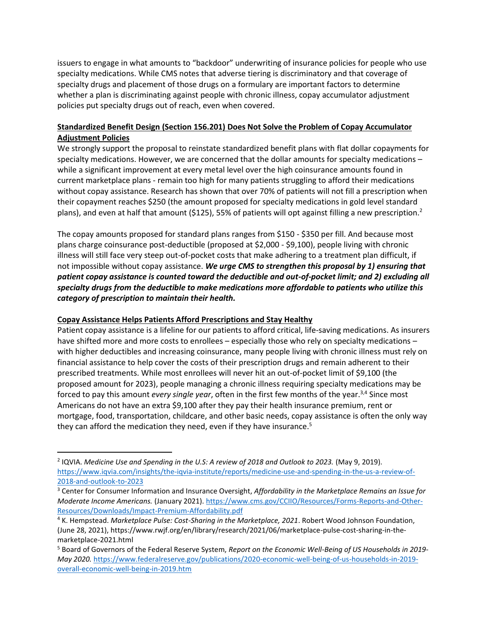issuers to engage in what amounts to "backdoor" underwriting of insurance policies for people who use specialty medications. While CMS notes that adverse tiering is discriminatory and that coverage of specialty drugs and placement of those drugs on a formulary are important factors to determine whether a plan is discriminating against people with chronic illness, copay accumulator adjustment policies put specialty drugs out of reach, even when covered.

# **Standardized Benefit Design (Section 156.201) Does Not Solve the Problem of Copay Accumulator Adjustment Policies**

We strongly support the proposal to reinstate standardized benefit plans with flat dollar copayments for specialty medications. However, we are concerned that the dollar amounts for specialty medications – while a significant improvement at every metal level over the high coinsurance amounts found in current marketplace plans - remain too high for many patients struggling to afford their medications without copay assistance. Research has shown that over 70% of patients will not fill a prescription when their copayment reaches \$250 (the amount proposed for specialty medications in gold level standard plans), and even at half that amount (\$125), 55% of patients will opt against filling a new prescription.<sup>2</sup>

The copay amounts proposed for standard plans ranges from \$150 - \$350 per fill. And because most plans charge coinsurance post-deductible (proposed at \$2,000 - \$9,100), people living with chronic illness will still face very steep out-of-pocket costs that make adhering to a treatment plan difficult, if not impossible without copay assistance. *We urge CMS to strengthen this proposal by 1) ensuring that patient copay assistance is counted toward the deductible and out-of-pocket limit; and 2) excluding all specialty drugs from the deductible to make medications more affordable to patients who utilize this category of prescription to maintain their health.*

# **Copay Assistance Helps Patients Afford Prescriptions and Stay Healthy**

Patient copay assistance is a lifeline for our patients to afford critical, life-saving medications. As insurers have shifted more and more costs to enrollees – especially those who rely on specialty medications – with higher deductibles and increasing coinsurance, many people living with chronic illness must rely on financial assistance to help cover the costs of their prescription drugs and remain adherent to their prescribed treatments. While most enrollees will never hit an out-of-pocket limit of \$9,100 (the proposed amount for 2023), people managing a chronic illness requiring specialty medications may be forced to pay this amount *every single year*, often in the first few months of the year.<sup>3,4</sup> Since most Americans do not have an extra \$9,100 after they pay their health insurance premium, rent or mortgage, food, transportation, childcare, and other basic needs, copay assistance is often the only way they can afford the medication they need, even if they have insurance.<sup>5</sup>

<sup>2</sup> IQVIA. *Medicine Use and Spending in the U.S: A review of 2018 and Outlook to 2023.* (May 9, 2019). [https://www.iqvia.com/insights/the-iqvia-institute/reports/medicine-use-and-spending-in-the-us-a-review-of-](https://www.iqvia.com/insights/the-iqvia-institute/reports/medicine-use-and-spending-in-the-us-a-review-of-2018-and-outlook-to-2023)[2018-and-outlook-to-2023](https://www.iqvia.com/insights/the-iqvia-institute/reports/medicine-use-and-spending-in-the-us-a-review-of-2018-and-outlook-to-2023)

<sup>3</sup> Center for Consumer Information and Insurance Oversight, *Affordability in the Marketplace Remains an Issue for Moderate Income Americans.* (January 2021)[. https://www.cms.gov/CCIIO/Resources/Forms-Reports-and-Other-](https://www.cms.gov/CCIIO/Resources/Forms-Reports-and-Other-Resources/Downloads/Impact-Premium-Affordability.pdf)[Resources/Downloads/Impact-Premium-Affordability.pdf](https://www.cms.gov/CCIIO/Resources/Forms-Reports-and-Other-Resources/Downloads/Impact-Premium-Affordability.pdf)

<sup>4</sup> K. Hempstead. *Marketplace Pulse: Cost-Sharing in the Marketplace, 2021*. Robert Wood Johnson Foundation, (June 28, 2021), https://www.rwjf.org/en/library/research/2021/06/marketplace-pulse-cost-sharing-in-themarketplace-2021.html

<sup>5</sup> Board of Governors of the Federal Reserve System, *Report on the Economic Well-Being of US Households in 2019- May 2020.* [https://www.federalreserve.gov/publications/2020-economic-well-being-of-us-households-in-2019](https://www.federalreserve.gov/publications/2020-economic-well-being-of-us-households-in-2019-overall-economic-well-being-in-2019.htm) [overall-economic-well-being-in-2019.htm](https://www.federalreserve.gov/publications/2020-economic-well-being-of-us-households-in-2019-overall-economic-well-being-in-2019.htm)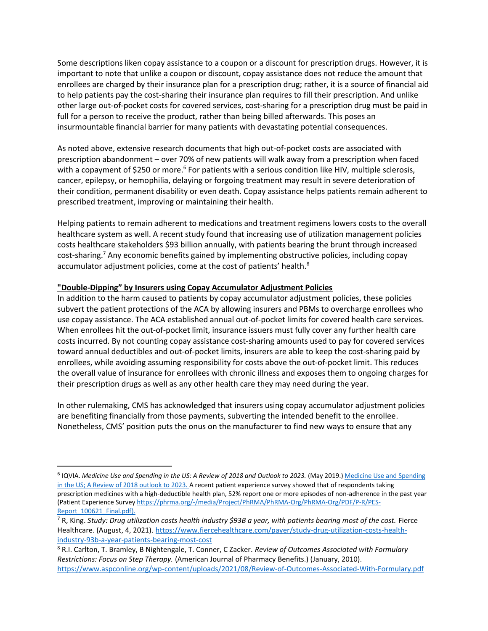Some descriptions liken copay assistance to a coupon or a discount for prescription drugs. However, it is important to note that unlike a coupon or discount, copay assistance does not reduce the amount that enrollees are charged by their insurance plan for a prescription drug; rather, it is a source of financial aid to help patients pay the cost-sharing their insurance plan requires to fill their prescription. And unlike other large out-of-pocket costs for covered services, cost-sharing for a prescription drug must be paid in full for a person to receive the product, rather than being billed afterwards. This poses an insurmountable financial barrier for many patients with devastating potential consequences.

As noted above, extensive research documents that high out-of-pocket costs are associated with prescription abandonment – over 70% of new patients will walk away from a prescription when faced with a copayment of \$250 or more.<sup>6</sup> For patients with a serious condition like HIV, multiple sclerosis, cancer, epilepsy, or hemophilia, delaying or forgoing treatment may result in severe deterioration of their condition, permanent disability or even death. Copay assistance helps patients remain adherent to prescribed treatment, improving or maintaining their health.

Helping patients to remain adherent to medications and treatment regimens lowers costs to the overall healthcare system as well. A recent study found that increasing use of utilization management policies costs healthcare stakeholders \$93 billion annually, with patients bearing the brunt through increased cost-sharing.<sup>7</sup> Any economic benefits gained by implementing obstructive policies, including copay accumulator adjustment policies, come at the cost of patients' health.<sup>8</sup>

#### **"Double-Dipping" by Insurers using Copay Accumulator Adjustment Policies**

In addition to the harm caused to patients by copay accumulator adjustment policies, these policies subvert the patient protections of the ACA by allowing insurers and PBMs to overcharge enrollees who use copay assistance. The ACA established annual out-of-pocket limits for covered health care services. When enrollees hit the out-of-pocket limit, insurance issuers must fully cover any further health care costs incurred. By not counting copay assistance cost-sharing amounts used to pay for covered services toward annual deductibles and out-of-pocket limits, insurers are able to keep the cost-sharing paid by enrollees, while avoiding assuming responsibility for costs above the out-of-pocket limit. This reduces the overall value of insurance for enrollees with chronic illness and exposes them to ongoing charges for their prescription drugs as well as any other health care they may need during the year.

In other rulemaking, CMS has acknowledged that insurers using copay accumulator adjustment policies are benefiting financially from those payments, subverting the intended benefit to the enrollee. Nonetheless, CMS' position puts the onus on the manufacturer to find new ways to ensure that any

<sup>&</sup>lt;sup>6</sup> IQVIA. *[Medicine Use and Spending](https://www.iqvia.com/-/media/iqvia/pdfs/institute-reports/medicine-use-and-spending-in-the-us---a-review-of-2018-outlook-to-2023.pdf?_=1579103872016) in the US: A Review of 2018 and Outlook to 2023.* (May 2019.) *Medicine Use and Spending* [in the US; A Review of 2018 outlook to 2023.](https://www.iqvia.com/-/media/iqvia/pdfs/institute-reports/medicine-use-and-spending-in-the-us---a-review-of-2018-outlook-to-2023.pdf?_=1579103872016) A recent patient experience survey showed that of respondents taking prescription medicines with a high-deductible health plan, 52% report one or more episodes of non-adherence in the past year (Patient Experience Survey [https://phrma.org/-/media/Project/PhRMA/PhRMA-Org/PhRMA-Org/PDF/P-R/PES-](https://phrma.org/-/media/Project/PhRMA/PhRMA-Org/PhRMA-Org/PDF/P-R/PES-Report_100621_Final.pdf)Report 100621 Final.pdf).

<sup>7</sup> R, King. *Study: Drug utilization costs health industry \$93B a year, with patients bearing most of the cost.* Fierce Healthcare. (August, 4, 2021). [https://www.fiercehealthcare.com/payer/study-drug-utilization-costs-health](https://www.fiercehealthcare.com/payer/study-drug-utilization-costs-health-industry-93b-a-year-patients-bearing-most-cost)[industry-93b-a-year-patients-bearing-most-cost](https://www.fiercehealthcare.com/payer/study-drug-utilization-costs-health-industry-93b-a-year-patients-bearing-most-cost)

<sup>8</sup> R.I. Carlton, T. Bramley, B Nightengale, T. Conner, C Zacker. *Review of Outcomes Associated with Formulary Restrictions: Focus on Step Therapy.* (American Journal of Pharmacy Benefits.) (January, 2010). <https://www.aspconline.org/wp-content/uploads/2021/08/Review-of-Outcomes-Associated-With-Formulary.pdf>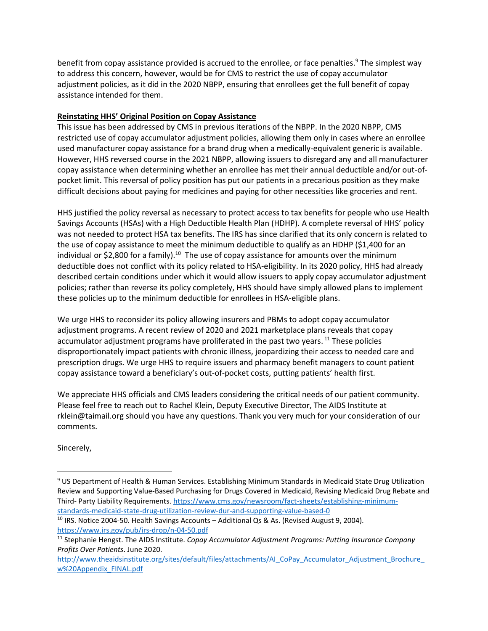benefit from copay assistance provided is accrued to the enrollee, or face penalties.<sup>9</sup> The simplest way to address this concern, however, would be for CMS to restrict the use of copay accumulator adjustment policies, as it did in the 2020 NBPP, ensuring that enrollees get the full benefit of copay assistance intended for them.

# **Reinstating HHS' Original Position on Copay Assistance**

This issue has been addressed by CMS in previous iterations of the NBPP. In the 2020 NBPP, CMS restricted use of copay accumulator adjustment policies, allowing them only in cases where an enrollee used manufacturer copay assistance for a brand drug when a medically-equivalent generic is available. However, HHS reversed course in the 2021 NBPP, allowing issuers to disregard any and all manufacturer copay assistance when determining whether an enrollee has met their annual deductible and/or out-ofpocket limit. This reversal of policy position has put our patients in a precarious position as they make difficult decisions about paying for medicines and paying for other necessities like groceries and rent.

HHS justified the policy reversal as necessary to protect access to tax benefits for people who use Health Savings Accounts (HSAs) with a High Deductible Health Plan (HDHP). A complete reversal of HHS' policy was not needed to protect HSA tax benefits. The IRS has since clarified that its only concern is related to the use of copay assistance to meet the minimum deductible to qualify as an HDHP (\$1,400 for an individual or \$2,800 for a family).<sup>10</sup> The use of copay assistance for amounts over the minimum deductible does not conflict with its policy related to HSA-eligibility. In its 2020 policy, HHS had already described certain conditions under which it would allow issuers to apply copay accumulator adjustment policies; rather than reverse its policy completely, HHS should have simply allowed plans to implement these policies up to the minimum deductible for enrollees in HSA-eligible plans.

We urge HHS to reconsider its policy allowing insurers and PBMs to adopt copay accumulator adjustment programs. A recent review of 2020 and 2021 marketplace plans reveals that copay accumulator adjustment programs have proliferated in the past two years.<sup>11</sup> These policies disproportionately impact patients with chronic illness, jeopardizing their access to needed care and prescription drugs. We urge HHS to require issuers and pharmacy benefit managers to count patient copay assistance toward a beneficiary's out-of-pocket costs, putting patients' health first.

We appreciate HHS officials and CMS leaders considering the critical needs of our patient community. Please feel free to reach out to Rachel Klein, Deputy Executive Director, The AIDS Institute at rklein@taimail.org should you have any questions. Thank you very much for your consideration of our comments.

Sincerely,

<sup>9</sup> US Department of Health & Human Services. Establishing Minimum Standards in Medicaid State Drug Utilization Review and Supporting Value-Based Purchasing for Drugs Covered in Medicaid, Revising Medicaid Drug Rebate and Third- Party Liability Requirements[. https://www.cms.gov/newsroom/fact-sheets/establishing-minimum](https://www.cms.gov/newsroom/fact-sheets/establishing-minimum-standards-medicaid-state-drug-utilization-review-dur-and-supporting-value-based-0)[standards-medicaid-state-drug-utilization-review-dur-and-supporting-value-based-0](https://www.cms.gov/newsroom/fact-sheets/establishing-minimum-standards-medicaid-state-drug-utilization-review-dur-and-supporting-value-based-0)

<sup>&</sup>lt;sup>10</sup> IRS. Notice 2004-50. Health Savings Accounts – Additional Qs & As. (Revised August 9, 2004). <https://www.irs.gov/pub/irs-drop/n-04-50.pdf>

<sup>11</sup> Stephanie Hengst. The AIDS Institute. *Copay Accumulator Adjustment Programs: Putting Insurance Company Profits Over Patients*. June 2020.

http://www.theaidsinstitute.org/sites/default/files/attachments/AI\_CoPay\_Accumulator\_Adjustment\_Brochure [w%20Appendix\\_FINAL.pdf](http://www.theaidsinstitute.org/sites/default/files/attachments/AI_CoPay_Accumulator_Adjustment_Brochure_w%20Appendix_FINAL.pdf)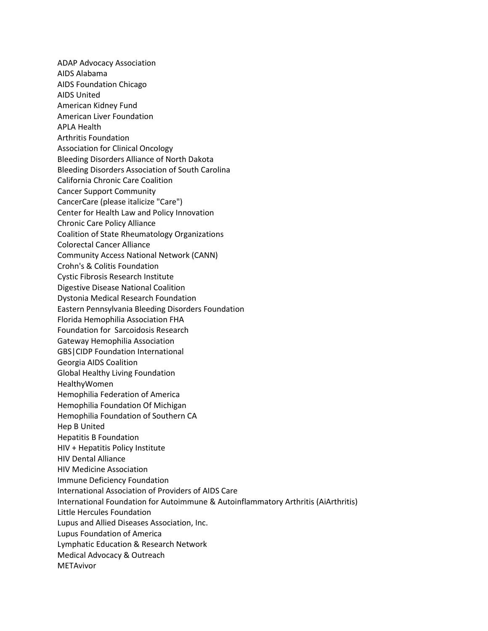ADAP Advocacy Association AIDS Alabama AIDS Foundation Chicago AIDS United American Kidney Fund American Liver Foundation APLA Health Arthritis Foundation Association for Clinical Oncology Bleeding Disorders Alliance of North Dakota Bleeding Disorders Association of South Carolina California Chronic Care Coalition Cancer Support Community CancerCare (please italicize "Care") Center for Health Law and Policy Innovation Chronic Care Policy Alliance Coalition of State Rheumatology Organizations Colorectal Cancer Alliance Community Access National Network (CANN) Crohn's & Colitis Foundation Cystic Fibrosis Research Institute Digestive Disease National Coalition Dystonia Medical Research Foundation Eastern Pennsylvania Bleeding Disorders Foundation Florida Hemophilia Association FHA Foundation for Sarcoidosis Research Gateway Hemophilia Association GBS|CIDP Foundation International Georgia AIDS Coalition Global Healthy Living Foundation HealthyWomen Hemophilia Federation of America Hemophilia Foundation Of Michigan Hemophilia Foundation of Southern CA Hep B United Hepatitis B Foundation HIV + Hepatitis Policy Institute HIV Dental Alliance HIV Medicine Association Immune Deficiency Foundation International Association of Providers of AIDS Care International Foundation for Autoimmune & Autoinflammatory Arthritis (AiArthritis) Little Hercules Foundation Lupus and Allied Diseases Association, Inc. Lupus Foundation of America Lymphatic Education & Research Network Medical Advocacy & Outreach METAvivor